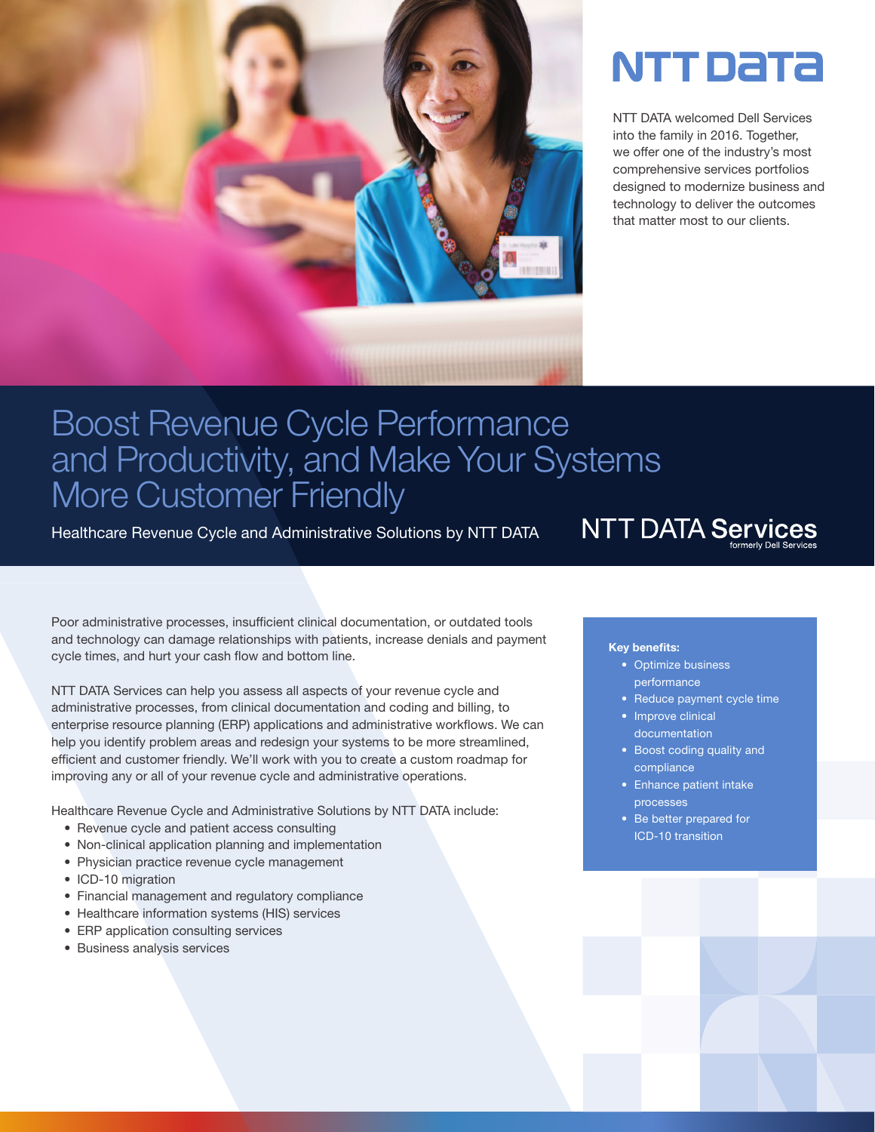

# NTT Data

NTT DATA welcomed Dell Services into the family in 2016. Together, we offer one of the industry's most comprehensive services portfolios designed to modernize business and technology to deliver the outcomes that matter most to our clients.

# Boost Revenue Cycle Performance and Productivity, and Make Your Systems More Customer Friendly

Healthcare Revenue Cycle and Administrative Solutions by NTT DATA

**NTT DATA Services** 

Poor administrative processes, insufficient clinical documentation, or outdated tools and technology can damage relationships with patients, increase denials and payment cycle times, and hurt your cash flow and bottom line.

NTT DATA Services can help you assess all aspects of your revenue cycle and administrative processes, from clinical documentation and coding and billing, to enterprise resource planning (ERP) applications and administrative workflows. We can help you identify problem areas and redesign your systems to be more streamlined, efficient and customer friendly. We'll work with you to create a custom roadmap for improving any or all of your revenue cycle and administrative operations.

Healthcare Revenue Cycle and Administrative Solutions by NTT DATA include:

- Revenue cycle and patient access consulting
- Non-clinical application planning and implementation
- Physician practice revenue cycle management
- ICD-10 migration
- Financial management and regulatory compliance
- Healthcare information systems (HIS) services
- ERP application consulting services
- Business analysis services

#### Key benefits:

- Optimize business performance
- Reduce payment cycle time
- Improve clinical documentation
- Boost coding quality and compliance
- Enhance patient intake processes
- Be better prepared for ICD-10 transition